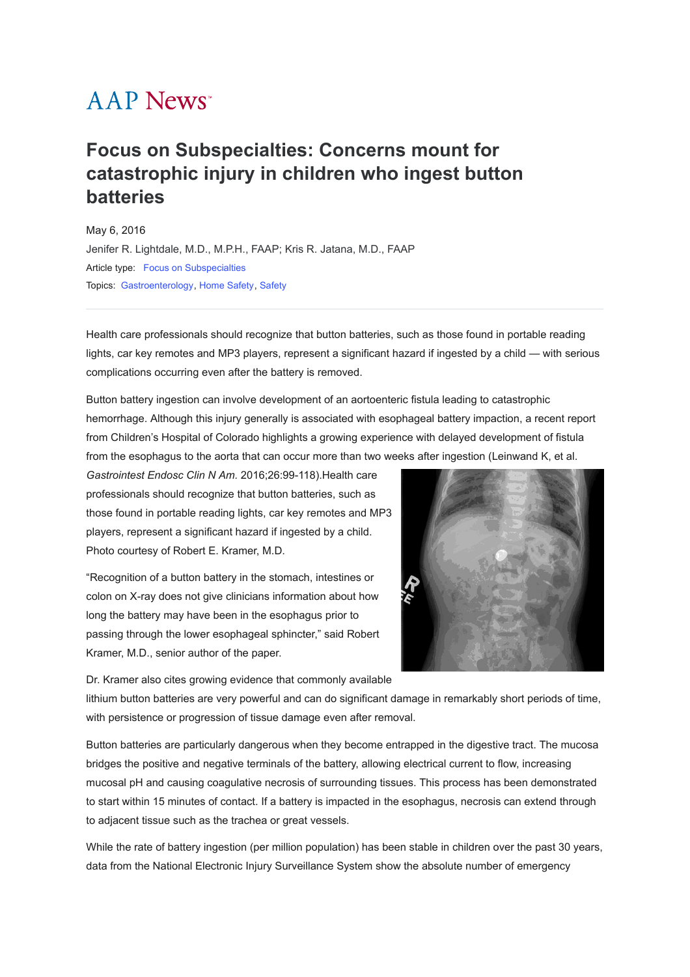## **AAP News**<sup>\*</sup>

## **Focus on Subspecialties: Concerns mount for catastrophic injury in children who ingest button batteries**

May 6, 2016 [Jenifer R. Lightdale, M.D., M.P.H., FAAP; Kris R. Jatana, M.D., FAAP](javascript:;) Article type: [Focus on Subspecialties](https://publications.aap.org/aapnews/search-results?f_ArticleTypeDisplayName=Focus+on+Subspecialties&fl_SiteID=1000011) Topics: [Gastroenterology](https://publications.aap.org/aapnews/search-results?f_FacetCategoryIDs_1=133&fl_SiteID=1000011), [Home Safety](https://publications.aap.org/aapnews/search-results?f_FacetCategoryIDs_1=149&fl_SiteID=1000011), [Safety](https://publications.aap.org/aapnews/search-results?f_FacetCategoryIDs_1=225&fl_SiteID=1000011)

Health care professionals should recognize that button batteries, such as those found in portable reading lights, car key remotes and MP3 players, represent a significant hazard if ingested by a child — with serious complications occurring even after the battery is removed.

Button battery ingestion can involve development of an aortoenteric fistula leading to catastrophic hemorrhage. Although this injury generally is associated with esophageal battery impaction, a recent report from Children's Hospital of Colorado highlights a growing experience with delayed development of fistula from the esophagus to the aorta that can occur more than two weeks after ingestion (Leinwand K, et al.

*Gastrointest Endosc Clin N Am.* 2016;26:99-118).Health care professionals should recognize that button batteries, such as those found in portable reading lights, car key remotes and MP3 players, represent a significant hazard if ingested by a child. Photo courtesy of Robert E. Kramer, M.D.

"Recognition of a button battery in the stomach, intestines or colon on X-ray does not give clinicians information about how long the battery may have been in the esophagus prior to passing through the lower esophageal sphincter," said Robert Kramer, M.D., senior author of the paper.



Dr. Kramer also cites growing evidence that commonly available

lithium button batteries are very powerful and can do significant damage in remarkably short periods of time, with persistence or progression of tissue damage even after removal.

Button batteries are particularly dangerous when they become entrapped in the digestive tract. The mucosa bridges the positive and negative terminals of the battery, allowing electrical current to flow, increasing mucosal pH and causing coagulative necrosis of surrounding tissues. This process has been demonstrated to start within 15 minutes of contact. If a battery is impacted in the esophagus, necrosis can extend through to adjacent tissue such as the trachea or great vessels.

While the rate of battery ingestion (per million population) has been stable in children over the past 30 years, data from the National Electronic Injury Surveillance System show the absolute number of emergency